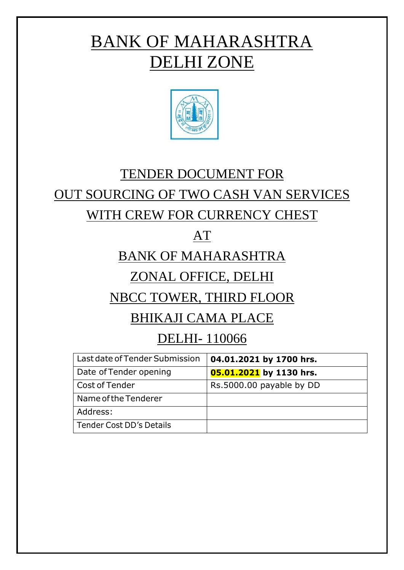# BANK OF MAHARASHTRA DELHI ZONE



# TENDER DOCUMENT FOR

# OUT SOURCING OF TWO CASH VAN SERVICES

# WITH CREW FOR CURRENCY CHEST

# AT

# BANK OF MAHARASHTRA

# ZONAL OFFICE, DELHI

# NBCC TOWER, THIRD FLOOR

# BHIKAJI CAMA PLACE

# DELHI- 110066

| Last date of Tender Submission | 04.01.2021 by 1700 hrs.  |
|--------------------------------|--------------------------|
| Date of Tender opening         | 05.01.2021 by 1130 hrs.  |
| Cost of Tender                 | Rs.5000.00 payable by DD |
| Name of the Tenderer           |                          |
| Address:                       |                          |
| Tender Cost DD's Details       |                          |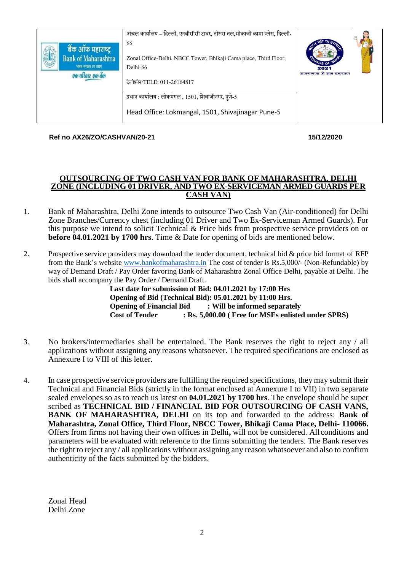| बैंक ऑफ महाराष्ट्र<br><b>Bank of Maharashtra</b><br>भारत सरकार का उद्यम<br>एक परिवार एक बैंक | अंचल कार्यालय – दिल्ली, एनबीसीसी टावर, तीसरा तल,भीकाजी कामा प्लेस, दिल्ली-<br>66<br>Zonal Office-Delhi, NBCC Tower, Bhikaji Cama place, Third Floor,<br>Delhi-66<br>टेलीफ़ोन/TELE: 011-26164817 | <sup>S</sup> US OF<br>2021<br>जनगणना से जन कल्याण |
|----------------------------------------------------------------------------------------------|-------------------------------------------------------------------------------------------------------------------------------------------------------------------------------------------------|---------------------------------------------------|
|                                                                                              | प्रधान कार्यालय : लोकमंगल , 1501, शिवाजीनगर, पुणे-5<br>Head Office: Lokmangal, 1501, Shivajinagar Pune-5                                                                                        |                                                   |

**Ref no AX26/ZO/CASHVAN/20-21 15/12/2020**

#### **OUTSOURCING OF TWO CASH VAN FOR BANK OF MAHARASHTRA, DELHI ZONE (INCLUDING 01 DRIVER, AND TWO EX-SERVICEMAN ARMED GUARDS PER CASH VAN)**

- 1. Bank of Maharashtra, Delhi Zone intends to outsource Two Cash Van (Air-conditioned) for Delhi Zone Branches/Currency chest (including 01 Driver and Two Ex-Serviceman Armed Guards). For this purpose we intend to solicit Technical & Price bids from prospective service providers on or **before 04.01.2021 by 1700 hrs**. Time & Date for opening of bids are mentioned below.
- 2. Prospective service providers may download the tender document, technical bid & price bid format of RFP from the Bank's website [www.bankofmaharashtra.in](http://www.bankofmaharashtra.in/) The cost of tender is Rs.5,000/- (Non-Refundable) by way of Demand Draft / Pay Order favoring Bank of Maharashtra Zonal Office Delhi, payable at Delhi. The bids shall accompany the Pay Order / Demand Draft.

**Last date for submission of Bid: 04.01.2021 by 17:00 Hrs Opening of Bid (Technical Bid): 05.01.2021 by 11:00 Hrs. Opening of Financial Bid : Will be informed separately<br>Cost of Tender : Rs. 5.000.00 (Free for MSEs enlisted Cost of Tender : Rs. 5,000.00 ( Free for MSEs enlisted under SPRS)**

- 3. No brokers/intermediaries shall be entertained. The Bank reserves the right to reject any / all applications without assigning any reasons whatsoever. The required specifications are enclosed as Annexure I to VIII of this letter.
- 4. In case prospective service providers are fulfilling the required specifications, they may submit their Technical and Financial Bids (strictly in the format enclosed at Annexure I to VII) in two separate sealed envelopes so as to reach us latest on **04.01.2021 by 1700 hrs**. The envelope should be super scribed as **TECHNICAL BID / FINANCIAL BID FOR OUTSOURCING OF CASH VANS, BANK OF MAHARASHTRA, DELHI** on its top and forwarded to the address: **Bank of Maharashtra, Zonal Office, Third Floor, NBCC Tower, Bhikaji Cama Place, Delhi- 110066.** Offers from firms not having their own offices in Delhi**,** will not be considered. All conditions and parameters will be evaluated with reference to the firms submitting the tenders. The Bank reserves the right to reject any / all applications without assigning any reason whatsoever and also to confirm authenticity of the facts submitted by the bidders.

Zonal Head Delhi Zone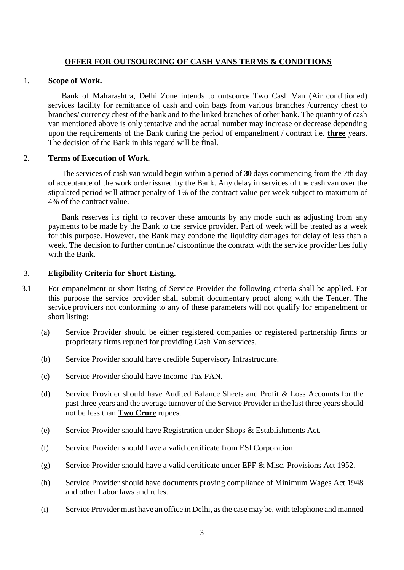#### **OFFER FOR OUTSOURCING OF CASH VANS TERMS & CONDITIONS**

#### 1. **Scope of Work.**

Bank of Maharashtra, Delhi Zone intends to outsource Two Cash Van (Air conditioned) services facility for remittance of cash and coin bags from various branches /currency chest to branches/ currency chest of the bank and to the linked branches of other bank. The quantity of cash van mentioned above is only tentative and the actual number may increase or decrease depending upon the requirements of the Bank during the period of empanelment / contract i.e. **three** years. The decision of the Bank in this regard will be final.

#### 2. **Terms of Execution of Work.**

The services of cash van would begin within a period of **30** days commencing from the 7th day of acceptance of the work order issued by the Bank. Any delay in services of the cash van over the stipulated period will attract penalty of 1% of the contract value per week subject to maximum of 4% of the contract value.

Bank reserves its right to recover these amounts by any mode such as adjusting from any payments to be made by the Bank to the service provider. Part of week will be treated as a week for this purpose. However, the Bank may condone the liquidity damages for delay of less than a week. The decision to further continue/ discontinue the contract with the service provider lies fully with the Bank.

#### 3. **Eligibility Criteria for Short-Listing.**

- 3.1 For empanelment or short listing of Service Provider the following criteria shall be applied. For this purpose the service provider shall submit documentary proof along with the Tender. The service providers not conforming to any of these parameters will not qualify for empanelment or short listing:
	- (a) Service Provider should be either registered companies or registered partnership firms or proprietary firms reputed for providing Cash Van services.
	- (b) Service Provider should have credible Supervisory Infrastructure.
	- (c) Service Provider should have Income Tax PAN.
	- (d) Service Provider should have Audited Balance Sheets and Profit & Loss Accounts for the past three years and the average turnover of the Service Provider in the last three years should not be less than **Two Crore** rupees.
	- (e) Service Provider should have Registration under Shops & Establishments Act.
	- (f) Service Provider should have a valid certificate from ESI Corporation.
	- (g) Service Provider should have a valid certificate under EPF & Misc. Provisions Act 1952.
	- (h) Service Provider should have documents proving compliance of Minimum Wages Act 1948 and other Labor laws and rules.
	- (i) Service Provider must have an office in Delhi, asthe case may be, with telephone and manned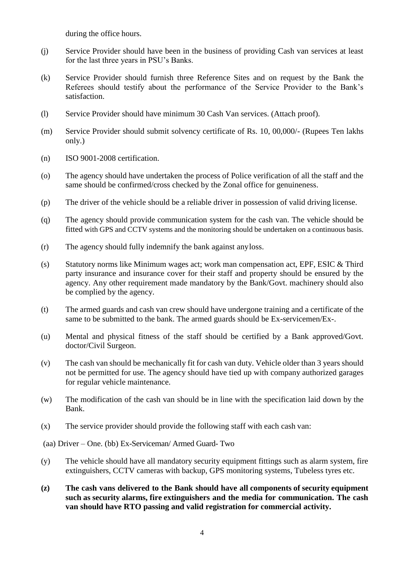during the office hours.

- (j) Service Provider should have been in the business of providing Cash van services at least for the last three years in PSU's Banks.
- (k) Service Provider should furnish three Reference Sites and on request by the Bank the Referees should testify about the performance of the Service Provider to the Bank's satisfaction.
- (l) Service Provider should have minimum 30 Cash Van services. (Attach proof).
- (m) Service Provider should submit solvency certificate of Rs. 10, 00,000/- (Rupees Ten lakhs only.)
- (n) ISO 9001-2008 certification.
- (o) The agency should have undertaken the process of Police verification of all the staff and the same should be confirmed/cross checked by the Zonal office for genuineness.
- (p) The driver of the vehicle should be a reliable driver in possession of valid driving license.
- (q) The agency should provide communication system for the cash van. The vehicle should be fitted with GPS and CCTV systems and the monitoring should be undertaken on a continuous basis.
- (r) The agency should fully indemnify the bank against anyloss.
- (s) Statutory norms like Minimum wages act; work man compensation act, EPF, ESIC & Third party insurance and insurance cover for their staff and property should be ensured by the agency. Any other requirement made mandatory by the Bank/Govt. machinery should also be complied by the agency.
- (t) The armed guards and cash van crew should have undergone training and a certificate of the same to be submitted to the bank. The armed guards should be Ex-servicemen/Ex-.
- (u) Mental and physical fitness of the staff should be certified by a Bank approved/Govt. doctor/Civil Surgeon.
- (v) The cash van should be mechanically fit for cash van duty. Vehicle older than 3 years should not be permitted for use. The agency should have tied up with company authorized garages for regular vehicle maintenance.
- (w) The modification of the cash van should be in line with the specification laid down by the Bank.
- (x) The service provider should provide the following staff with each cash van:

(aa) Driver – One. (bb) Ex-Serviceman/ Armed Guard- Two

- (y) The vehicle should have all mandatory security equipment fittings such as alarm system, fire extinguishers, CCTV cameras with backup, GPS monitoring systems, Tubeless tyres etc.
- **(z) The cash vans delivered to the Bank should have all components of security equipment such as security alarms, fire extinguishers and the media for communication. The cash van should have RTO passing and valid registration for commercial activity.**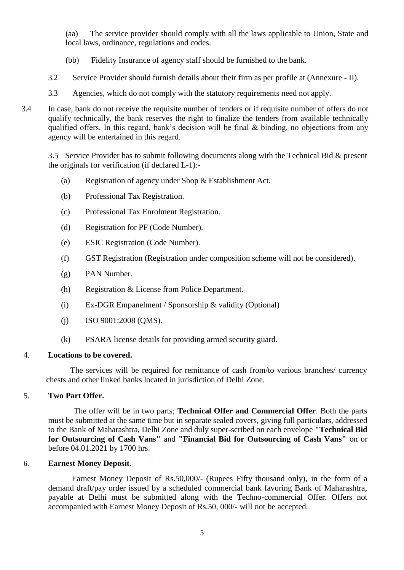(aa) The service provider should comply with all the laws applicable to Union, State and local laws, ordinance, regulations and codes.

- (bb) Fidelity Insurance of agency staff should be furnished to the bank.
- 3.2 Service Provider should furnish details about their firm as per profile at (Annexure II).
- 3.3 Agencies, which do not comply with the statutory requirements need not apply.
- 3.4 In case, bank do not receive the requisite number of tenders or if requisite number of offers do not qualify technically, the bank reserves the right to finalize the tenders from available technically qualified offers. In this regard, bank's decision will be final & binding, no objections from any agency will be entertained in this regard.

3.5 Service Provider has to submit following documents along with the Technical Bid & present the originals for verification (if declared L-1):-

- (a) Registration of agency under Shop & Establishment Act.
- (b) Professional Tax Registration.
- (c) Professional Tax Enrolment Registration.
- (d) Registration for PF (Code Number).
- (e) ESIC Registration (Code Number).
- (f) GST Registration (Registration under composition scheme will not be considered).
- (g) PAN Number.
- (h) Registration & License from Police Department.
- (i) Ex-DGR Empanelment / Sponsorship & validity (Optional)
- $(i)$  ISO 9001:2008 (QMS).
- (k) PSARA license details for providing armed security guard.

#### 4. **Locations to be covered.**

The services will be required for remittance of cash from/to various branches/ currency chests and other linked banks located in jurisdiction of Delhi Zone.

#### 5. **Two Part Offer.**

 The offer will be in two parts; **Technical Offer and Commercial Offer**. Both the parts must be submitted at the same time but in separate sealed covers, giving full particulars, addressed to the Bank of Maharashtra, Delhi Zone and duly super-scribed on each envelope **"Technical Bid for Outsourcing of Cash Vans"** and **"Financial Bid for Outsourcing of Cash Vans"** on or before 04.01.2021 by 1700 hrs.

#### 6. **Earnest Money Deposit.**

 Earnest Money Deposit of Rs.50,000/- (Rupees Fifty thousand only), in the form of a demand draft/pay order issued by a scheduled commercial bank favoring Bank of Maharashtra, payable at Delhi must be submitted along with the Techno-commercial Offer. Offers not accompanied with Earnest Money Deposit of Rs.50, 000/- will not be accepted.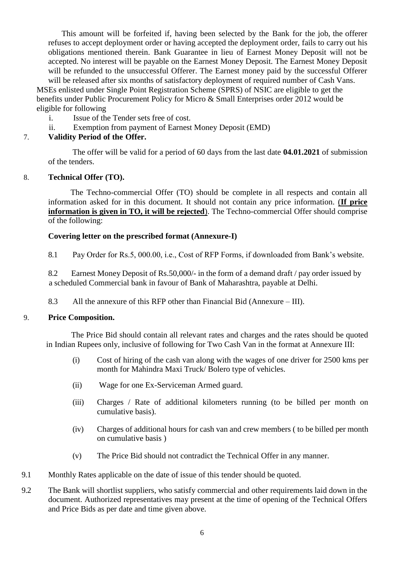This amount will be forfeited if, having been selected by the Bank for the job, the offerer refuses to accept deployment order or having accepted the deployment order, fails to carry out his obligations mentioned therein. Bank Guarantee in lieu of Earnest Money Deposit will not be accepted. No interest will be payable on the Earnest Money Deposit. The Earnest Money Deposit will be refunded to the unsuccessful Offerer. The Earnest money paid by the successful Offerer will be released after six months of satisfactory deployment of required number of Cash Vans.

MSEs enlisted under Single Point Registration Scheme (SPRS) of NSIC are eligible to get the benefits under Public Procurement Policy for Micro & Small Enterprises order 2012 would be eligible for following

- i. Issue of the Tender sets free of cost.
- ii. Exemption from payment of Earnest Money Deposit (EMD)

#### 7. **Validity Period of the Offer.**

 The offer will be valid for a period of 60 days from the last date **04.01.2021** of submission of the tenders.

#### 8. **Technical Offer (TO).**

 The Techno-commercial Offer (TO) should be complete in all respects and contain all information asked for in this document. It should not contain any price information. (**If price information is given in TO, it will be rejected**). The Techno-commercial Offer should comprise of the following:

#### **Covering letter on the prescribed format (Annexure-I)**

8.1 Pay Order for Rs.5, 000.00, i.e., Cost of RFP Forms, if downloaded from Bank's website.

8.2 Earnest Money Deposit of Rs.50,000/- in the form of a demand draft / pay order issued by a scheduled Commercial bank in favour of Bank of Maharashtra, payable at Delhi.

8.3 All the annexure of this RFP other than Financial Bid (Annexure – III).

#### 9. **Price Composition.**

 The Price Bid should contain all relevant rates and charges and the rates should be quoted in Indian Rupees only, inclusive of following for Two Cash Van in the format at Annexure III:

- (i) Cost of hiring of the cash van along with the wages of one driver for 2500 kms per month for Mahindra Maxi Truck/ Bolero type of vehicles.
- (ii) Wage for one Ex-Serviceman Armed guard.
- (iii) Charges / Rate of additional kilometers running (to be billed per month on cumulative basis).
- (iv) Charges of additional hours for cash van and crew members ( to be billed per month on cumulative basis )
- (v) The Price Bid should not contradict the Technical Offer in any manner.
- 9.1 Monthly Rates applicable on the date of issue of this tender should be quoted.
- 9.2 The Bank will shortlist suppliers, who satisfy commercial and other requirements laid down in the document. Authorized representatives may present at the time of opening of the Technical Offers and Price Bids as per date and time given above.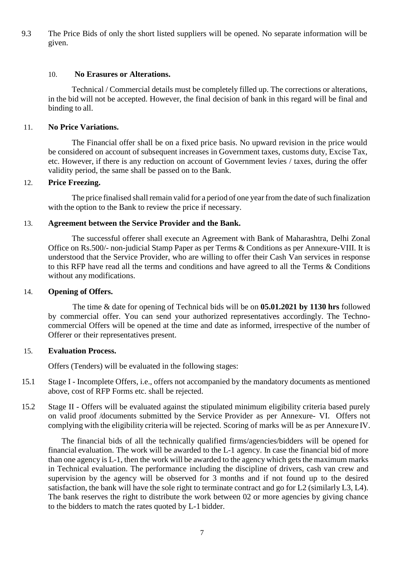9.3 The Price Bids of only the short listed suppliers will be opened. No separate information will be given.

#### 10. **No Erasures or Alterations.**

 Technical / Commercial details must be completely filled up. The corrections or alterations, in the bid will not be accepted. However, the final decision of bank in this regard will be final and binding to all.

#### 11. **No Price Variations.**

 The Financial offer shall be on a fixed price basis. No upward revision in the price would be considered on account of subsequent increases in Government taxes, customs duty, Excise Tax, etc. However, if there is any reduction on account of Government levies / taxes, during the offer validity period, the same shall be passed on to the Bank.

#### 12. **Price Freezing.**

The price finalised shall remain valid for a period of one year from the date of such finalization with the option to the Bank to review the price if necessary.

#### 13. **Agreement between the Service Provider and the Bank.**

 The successful offerer shall execute an Agreement with Bank of Maharashtra, Delhi Zonal Office on Rs.500/- non-judicial Stamp Paper as per Terms & Conditions as per Annexure-VIII. It is understood that the Service Provider, who are willing to offer their Cash Van services in response to this RFP have read all the terms and conditions and have agreed to all the Terms & Conditions without any modifications.

#### 14. **Opening of Offers.**

 The time & date for opening of Technical bids will be on **05.01.2021 by 1130 hrs** followed by commercial offer. You can send your authorized representatives accordingly. The Technocommercial Offers will be opened at the time and date as informed, irrespective of the number of Offerer or their representatives present.

#### 15. **Evaluation Process.**

Offers (Tenders) will be evaluated in the following stages:

- 15.1 Stage I Incomplete Offers, i.e., offers not accompanied by the mandatory documents as mentioned above, cost of RFP Forms etc. shall be rejected.
- 15.2 Stage II Offers will be evaluated against the stipulated minimum eligibility criteria based purely on valid proof /documents submitted by the Service Provider as per Annexure- VI. Offers not complying with the eligibility criteria will be rejected. Scoring of marks will be as per Annexure IV.

The financial bids of all the technically qualified firms/agencies/bidders will be opened for financial evaluation. The work will be awarded to the L-1 agency. In case the financial bid of more than one agency is  $L-1$ , then the work will be awarded to the agency which gets the maximum marks in Technical evaluation. The performance including the discipline of drivers, cash van crew and supervision by the agency will be observed for 3 months and if not found up to the desired satisfaction, the bank will have the sole right to terminate contract and go for L2 (similarly L3, L4). The bank reserves the right to distribute the work between 02 or more agencies by giving chance to the bidders to match the rates quoted by L-1 bidder.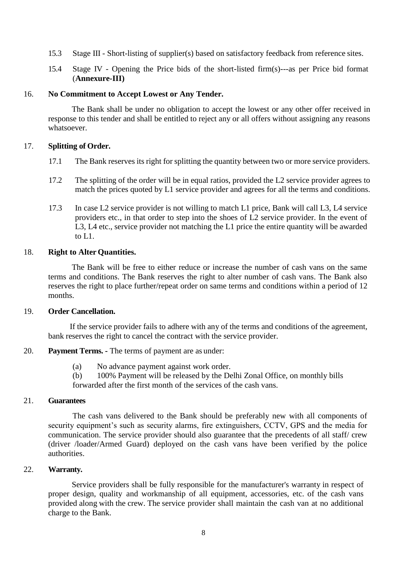- 15.3 Stage III Short-listing of supplier(s) based on satisfactory feedback from reference sites.
- 15.4 Stage IV Opening the Price bids of the short-listed firm(s)---as per Price bid format (**Annexure-III)**

#### 16. **No Commitment to Accept Lowest or Any Tender.**

 The Bank shall be under no obligation to accept the lowest or any other offer received in response to this tender and shall be entitled to reject any or all offers without assigning any reasons whatsoever.

#### 17. **Splitting of Order.**

- 17.1 The Bank reserves its right for splitting the quantity between two or more service providers.
- 17.2 The splitting of the order will be in equal ratios, provided the L2 service provider agrees to match the prices quoted by L1 service provider and agrees for all the terms and conditions.
- 17.3 In case L2 service provider is not willing to match L1 price, Bank will call L3, L4 service providers etc., in that order to step into the shoes of L2 service provider. In the event of L3, L4 etc., service provider not matching the L1 price the entire quantity will be awarded to L1.

#### 18. **Right to Alter Quantities.**

 The Bank will be free to either reduce or increase the number of cash vans on the same terms and conditions. The Bank reserves the right to alter number of cash vans. The Bank also reserves the right to place further/repeat order on same terms and conditions within a period of 12 months.

#### 19. **Order Cancellation.**

 If the service provider fails to adhere with any of the terms and conditions of the agreement, bank reserves the right to cancel the contract with the service provider.

#### 20. **Payment Terms. -** The terms of payment are as under:

- (a) No advance payment against work order.
- (b) 100% Payment will be released by the Delhi Zonal Office, on monthly bills

forwarded after the first month of the services of the cash vans.

#### 21. **Guarantees**

 The cash vans delivered to the Bank should be preferably new with all components of security equipment's such as security alarms, fire extinguishers, CCTV, GPS and the media for communication. The service provider should also guarantee that the precedents of all staff/ crew (driver /loader/Armed Guard) deployed on the cash vans have been verified by the police authorities.

#### 22. **Warranty.**

 Service providers shall be fully responsible for the manufacturer's warranty in respect of proper design, quality and workmanship of all equipment, accessories, etc. of the cash vans provided along with the crew. The service provider shall maintain the cash van at no additional charge to the Bank.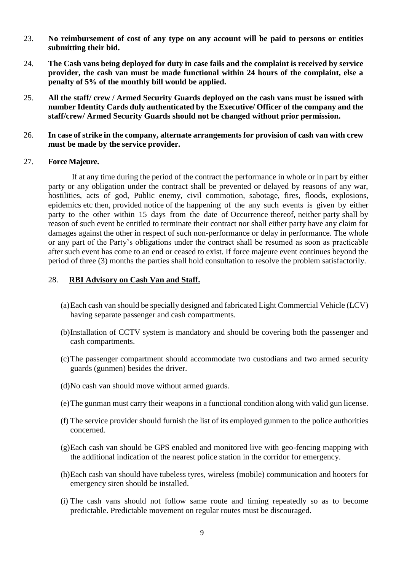- 23. **No reimbursement of cost of any type on any account will be paid to persons or entities submitting their bid.**
- 24. **The Cash vans being deployed for duty in case fails and the complaint is received by service provider, the cash van must be made functional within 24 hours of the complaint, else a penalty of 5% of the monthly bill would be applied.**
- 25. **All the staff/ crew / Armed Security Guards deployed on the cash vans must be issued with number Identity Cards duly authenticated by the Executive/ Officer of the company and the staff/crew/ Armed Security Guards should not be changed without prior permission.**
- 26. **In case of strike in the company, alternate arrangements for provision of cash van with crew must be made by the service provider.**

#### 27. **Force Majeure.**

 If at any time during the period of the contract the performance in whole or in part by either party or any obligation under the contract shall be prevented or delayed by reasons of any war, hostilities, acts of god, Public enemy, civil commotion, sabotage, fires, floods, explosions, epidemics etc then, provided notice of the happening of the any such events is given by either party to the other within 15 days from the date of Occurrence thereof, neither party shall by reason of such event be entitled to terminate their contract nor shall either party have any claim for damages against the other in respect of such non-performance or delay in performance. The whole or any part of the Party's obligations under the contract shall be resumed as soon as practicable after such event has come to an end or ceased to exist. If force majeure event continues beyond the period of three (3) months the parties shall hold consultation to resolve the problem satisfactorily.

#### 28. **RBI Advisory on Cash Van and Staff.**

- (a)Each cash van should be specially designed and fabricated Light Commercial Vehicle (LCV) having separate passenger and cash compartments.
- (b)Installation of CCTV system is mandatory and should be covering both the passenger and cash compartments.
- (c)The passenger compartment should accommodate two custodians and two armed security guards (gunmen) besides the driver.
- (d)No cash van should move without armed guards.
- (e)The gunman must carry their weapons in a functional condition along with valid gun license.
- (f) The service provider should furnish the list of its employed gunmen to the police authorities concerned.
- (g)Each cash van should be GPS enabled and monitored live with geo-fencing mapping with the additional indication of the nearest police station in the corridor for emergency.
- (h)Each cash van should have tubeless tyres, wireless (mobile) communication and hooters for emergency siren should be installed.
- (i) The cash vans should not follow same route and timing repeatedly so as to become predictable. Predictable movement on regular routes must be discouraged.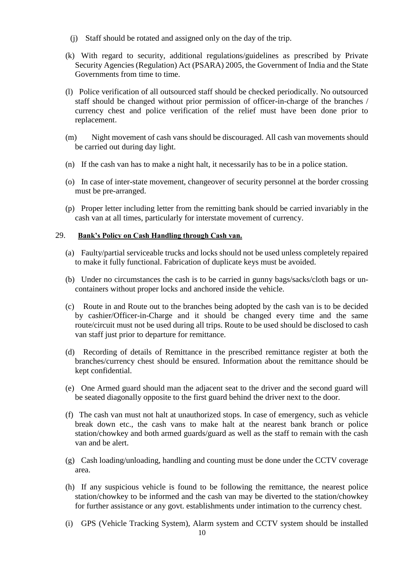- (j) Staff should be rotated and assigned only on the day of the trip.
- (k) With regard to security, additional regulations/guidelines as prescribed by Private Security Agencies (Regulation) Act (PSARA) 2005, the Government of India and the State Governments from time to time.
- (l) Police verification of all outsourced staff should be checked periodically. No outsourced staff should be changed without prior permission of officer-in-charge of the branches / currency chest and police verification of the relief must have been done prior to replacement.
- (m) Night movement of cash vans should be discouraged. All cash van movements should be carried out during day light.
- (n) If the cash van has to make a night halt, it necessarily has to be in a police station.
- (o) In case of inter-state movement, changeover of security personnel at the border crossing must be pre-arranged.
- (p) Proper letter including letter from the remitting bank should be carried invariably in the cash van at all times, particularly for interstate movement of currency.

#### 29. **Bank's Policy on Cash Handling through Cash van.**

- (a) Faulty/partial serviceable trucks and locks should not be used unless completely repaired to make it fully functional. Fabrication of duplicate keys must be avoided.
- (b) Under no circumstances the cash is to be carried in gunny bags/sacks/cloth bags or uncontainers without proper locks and anchored inside the vehicle.
- (c) Route in and Route out to the branches being adopted by the cash van is to be decided by cashier/Officer-in-Charge and it should be changed every time and the same route/circuit must not be used during all trips. Route to be used should be disclosed to cash van staff just prior to departure for remittance.
- (d) Recording of details of Remittance in the prescribed remittance register at both the branches/currency chest should be ensured. Information about the remittance should be kept confidential.
- (e) One Armed guard should man the adjacent seat to the driver and the second guard will be seated diagonally opposite to the first guard behind the driver next to the door.
- (f) The cash van must not halt at unauthorized stops. In case of emergency, such as vehicle break down etc., the cash vans to make halt at the nearest bank branch or police station/chowkey and both armed guards/guard as well as the staff to remain with the cash van and be alert.
- (g) Cash loading/unloading, handling and counting must be done under the CCTV coverage area.
- (h) If any suspicious vehicle is found to be following the remittance, the nearest police station/chowkey to be informed and the cash van may be diverted to the station/chowkey for further assistance or any govt. establishments under intimation to the currency chest.
- (i) GPS (Vehicle Tracking System), Alarm system and CCTV system should be installed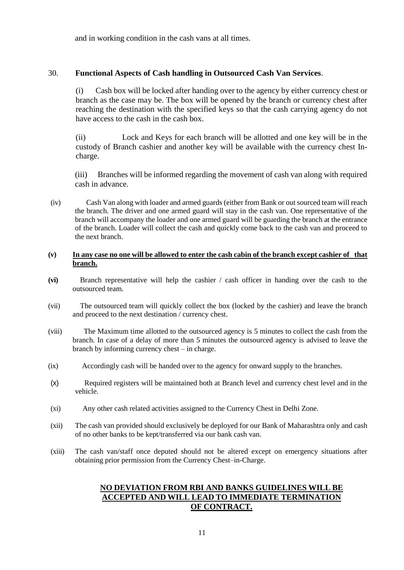and in working condition in the cash vans at all times.

#### 30. **Functional Aspects of Cash handling in Outsourced Cash Van Services**.

(i) Cash box will be locked after handing over to the agency by either currency chest or branch as the case may be. The box will be opened by the branch or currency chest after reaching the destination with the specified keys so that the cash carrying agency do not have access to the cash in the cash box.

(ii) Lock and Keys for each branch will be allotted and one key will be in the custody of Branch cashier and another key will be available with the currency chest Incharge.

(iii) Branches will be informed regarding the movement of cash van along with required cash in advance.

(iv) Cash Van along with loader and armed guards (either from Bank or out sourced team will reach the branch. The driver and one armed guard will stay in the cash van. One representative of the branch will accompany the loader and one armed guard will be guarding the branch at the entrance of the branch. Loader will collect the cash and quickly come back to the cash van and proceed to the next branch.

#### **(v) In any case no one will be allowed to enter the cash cabin of the branch except cashier of that branch.**

- **(vi)** Branch representative will help the cashier / cash officer in handing over the cash to the outsourced team.
- (vii) The outsourced team will quickly collect the box (locked by the cashier) and leave the branch and proceed to the next destination / currency chest.
- (viii) The Maximum time allotted to the outsourced agency is 5 minutes to collect the cash from the branch. In case of a delay of more than 5 minutes the outsourced agency is advised to leave the branch by informing currency chest – in charge.
- (ix) Accordingly cash will be handed over to the agency for onward supply to the branches.
- (x) Required registers will be maintained both at Branch level and currency chest level and in the vehicle.
- (xi) Any other cash related activities assigned to the Currency Chest in Delhi Zone.
- (xii) The cash van provided should exclusively be deployed for our Bank of Maharashtra only and cash of no other banks to be kept/transferred via our bank cash van.
- (xiii) The cash van/staff once deputed should not be altered except on emergency situations after obtaining prior permission from the Currency Chest–in-Charge.

### **NO DEVIATION FROM RBI AND BANKS GUIDELINES WILL BE ACCEPTED AND WILL LEAD TO IMMEDIATE TERMINATION OF CONTRACT.**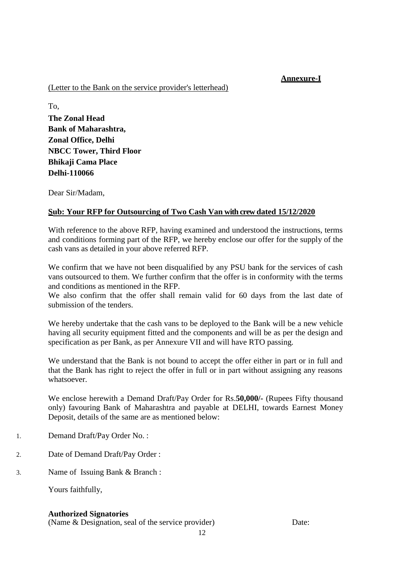# **Annexure-I**

#### (Letter to the Bank on the service provider's letterhead)

To, **The Zonal Head Bank of Maharashtra, Zonal Office, Delhi NBCC Tower, Third Floor Bhikaji Cama Place Delhi-110066**

Dear Sir/Madam,

### **Sub: Your RFP for Outsourcing of Two Cash Van with crew dated 15/12/2020**

With reference to the above RFP, having examined and understood the instructions, terms and conditions forming part of the RFP, we hereby enclose our offer for the supply of the cash vans as detailed in your above referred RFP.

We confirm that we have not been disqualified by any PSU bank for the services of cash vans outsourced to them. We further confirm that the offer is in conformity with the terms and conditions as mentioned in the RFP.

We also confirm that the offer shall remain valid for 60 days from the last date of submission of the tenders.

We hereby undertake that the cash vans to be deployed to the Bank will be a new vehicle having all security equipment fitted and the components and will be as per the design and specification as per Bank, as per Annexure VII and will have RTO passing.

We understand that the Bank is not bound to accept the offer either in part or in full and that the Bank has right to reject the offer in full or in part without assigning any reasons whatsoever.

We enclose herewith a Demand Draft/Pay Order for Rs.**50,000/-** (Rupees Fifty thousand only) favouring Bank of Maharashtra and payable at DELHI, towards Earnest Money Deposit, details of the same are as mentioned below:

- 1. Demand Draft/Pay Order No. :
- 2. Date of Demand Draft/Pay Order :
- 3. Name of Issuing Bank & Branch :

Yours faithfully,

#### **Authorized Signatories**

(Name & Designation, seal of the service provider) Date: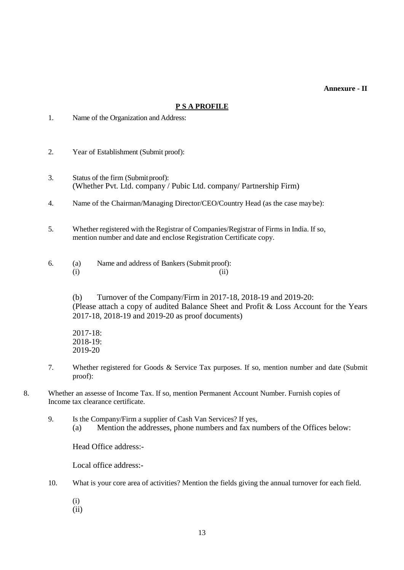**Annexure - II** 

#### **P S A PROFILE**

- 1. Name of the Organization and Address:
- 2. Year of Establishment (Submit proof):
- 3. Status of the firm (Submitproof): (Whether Pvt. Ltd. company / Pubic Ltd. company/ Partnership Firm)
- 4. Name of the Chairman/Managing Director/CEO/Country Head (as the case maybe):
- 5. Whether registered with the Registrar of Companies/Registrar of Firms in India. If so, mention number and date and enclose Registration Certificate copy.
- 6. (a) Name and address of Bankers (Submit proof):  $(i)$   $(ii)$

(b) Turnover of the Company/Firm in 2017-18, 2018-19 and 2019-20: (Please attach a copy of audited Balance Sheet and Profit & Loss Account for the Years 2017-18, 2018-19 and 2019-20 as proof documents)

2017-18: 2018-19: 2019-20

- 7. Whether registered for Goods & Service Tax purposes. If so, mention number and date (Submit proof):
- 8. Whether an assesse of Income Tax. If so, mention Permanent Account Number. Furnish copies of Income tax clearance certificate.
	- 9. Is the Company/Firm a supplier of Cash Van Services? If yes, (a) Mention the addresses, phone numbers and fax numbers of the Offices below:

Head Office address:-

Local office address:-

- 10. What is your core area of activities? Mention the fields giving the annual turnover for each field.
	- (i)
	- (ii)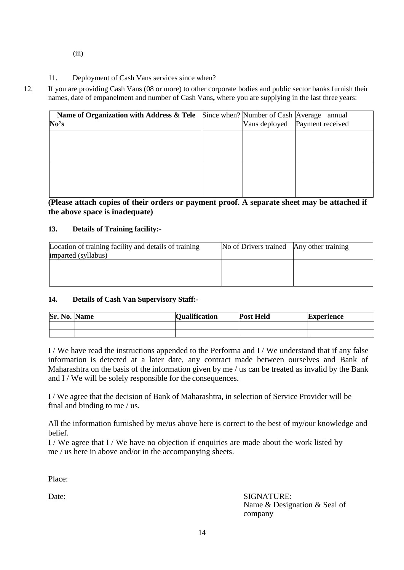- (iii)
- 11. Deployment of Cash Vans services since when?
- 12. If you are providing Cash Vans (08 or more) to other corporate bodies and public sector banks furnish their names, date of empanelment and number of Cash Vans**,** where you are supplying in the last three years:

| Name of Organization with Address & Tele<br>No's | Since when? Number of Cash Average | annual<br>Vans deployed   Payment received |
|--------------------------------------------------|------------------------------------|--------------------------------------------|
|                                                  |                                    |                                            |
|                                                  |                                    |                                            |
|                                                  |                                    |                                            |

**(Please attach copies of their orders or payment proof. A separate sheet may be attached if the above space is inadequate)**

#### **13. Details of Training facility:-**

| Location of training facility and details of training | No of Drivers trained Any other training |  |
|-------------------------------------------------------|------------------------------------------|--|
| imparted (syllabus)                                   |                                          |  |
|                                                       |                                          |  |
|                                                       |                                          |  |
|                                                       |                                          |  |

#### **14. Details of Cash Van Supervisory Staff:-**

| Sr. No. | <b>Name</b> | <b>Qualification</b> | <b>Post Held</b> | <b>Experience</b> |
|---------|-------------|----------------------|------------------|-------------------|
|         |             |                      |                  |                   |
|         |             |                      |                  |                   |

I / We have read the instructions appended to the Performa and I / We understand that if any false information is detected at a later date, any contract made between ourselves and Bank of Maharashtra on the basis of the information given by me / us can be treated as invalid by the Bank and I / We will be solely responsible for the consequences.

I / We agree that the decision of Bank of Maharashtra, in selection of Service Provider will be final and binding to me / us.

All the information furnished by me/us above here is correct to the best of my/our knowledge and belief.

I / We agree that I / We have no objection if enquiries are made about the work listed by me / us here in above and/or in the accompanying sheets.

Place:

Date: SIGNATURE: Name & Designation & Seal of company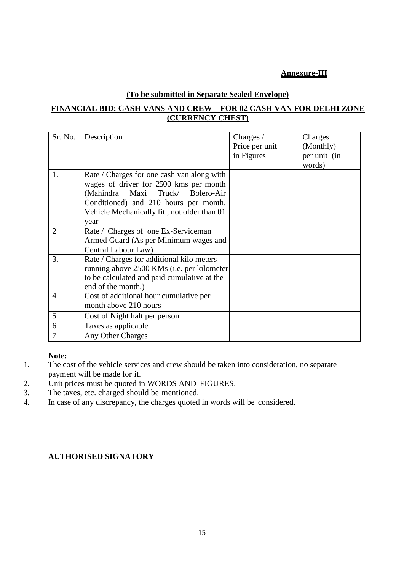# **Annexure-III**

#### **(To be submitted in Separate Sealed Envelope)**

# **FINANCIAL BID: CASH VANS AND CREW – FOR 02 CASH VAN FOR DELHI ZONE (CURRENCY CHEST)**

| Sr. No.        | Description                                 | Charges /      | Charges      |
|----------------|---------------------------------------------|----------------|--------------|
|                |                                             | Price per unit | (Monthly)    |
|                |                                             | in Figures     | per unit (in |
|                |                                             |                | words)       |
| 1.             | Rate / Charges for one cash van along with  |                |              |
|                | wages of driver for 2500 kms per month      |                |              |
|                | (Mahindra Maxi Truck/ Bolero-Air            |                |              |
|                | Conditioned) and 210 hours per month.       |                |              |
|                | Vehicle Mechanically fit, not older than 01 |                |              |
|                | year                                        |                |              |
| $\overline{2}$ | Rate / Charges of one Ex-Serviceman         |                |              |
|                | Armed Guard (As per Minimum wages and       |                |              |
|                | Central Labour Law)                         |                |              |
| 3.             | Rate / Charges for additional kilo meters   |                |              |
|                | running above 2500 KMs (i.e. per kilometer  |                |              |
|                | to be calculated and paid cumulative at the |                |              |
|                | end of the month.)                          |                |              |
| $\overline{4}$ | Cost of additional hour cumulative per      |                |              |
|                | month above 210 hours                       |                |              |
| 5              | Cost of Night halt per person               |                |              |
| 6              | Taxes as applicable                         |                |              |
| $\tau$         | Any Other Charges                           |                |              |

### **Note:**

- 1. The cost of the vehicle services and crew should be taken into consideration, no separate payment will be made for it.
- 2. Unit prices must be quoted in WORDS AND FIGURES.
- 3. The taxes, etc. charged should be mentioned.
- 4. In case of any discrepancy, the charges quoted in words will be considered.

# **AUTHORISED SIGNATORY**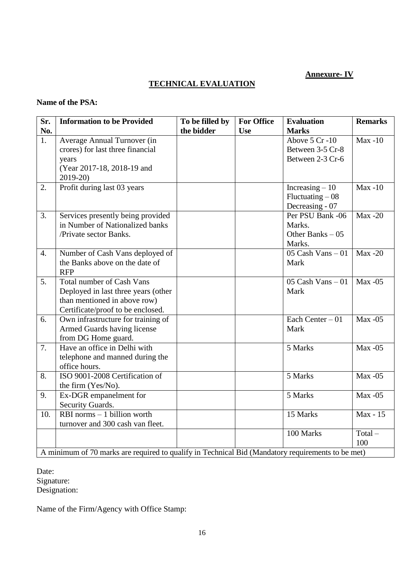# **Annexure- IV**

# **TECHNICAL EVALUATION**

# **Name of the PSA:**

| Sr.              | <b>Information to be Provided</b>                                                                 | To be filled by | <b>For Office</b> | <b>Evaluation</b>                     | <b>Remarks</b>   |
|------------------|---------------------------------------------------------------------------------------------------|-----------------|-------------------|---------------------------------------|------------------|
| No.              |                                                                                                   | the bidder      | <b>Use</b>        | <b>Marks</b>                          |                  |
| $\overline{1}$ . | Average Annual Turnover (in                                                                       |                 |                   | Above 5 Cr-10                         | $Max -10$        |
|                  | crores) for last three financial                                                                  |                 |                   | Between 3-5 Cr-8                      |                  |
|                  | years                                                                                             |                 |                   | Between 2-3 Cr-6                      |                  |
|                  | (Year 2017-18, 2018-19 and                                                                        |                 |                   |                                       |                  |
|                  | 2019-20)                                                                                          |                 |                   |                                       |                  |
| 2.               | Profit during last 03 years                                                                       |                 |                   | Increasing $-10$                      | $Max -10$        |
|                  |                                                                                                   |                 |                   | $Fluctuating - 08$<br>Decreasing - 07 |                  |
| 3.               | Services presently being provided                                                                 |                 |                   | Per PSU Bank -06                      | <b>Max-20</b>    |
|                  | in Number of Nationalized banks                                                                   |                 |                   | Marks.                                |                  |
|                  | /Private sector Banks.                                                                            |                 |                   | Other Banks $-05$                     |                  |
|                  |                                                                                                   |                 |                   | Marks.                                |                  |
| $\overline{4}$ . | Number of Cash Vans deployed of                                                                   |                 |                   | 05 Cash Vans $-01$                    | Max $-20$        |
|                  | the Banks above on the date of                                                                    |                 |                   | Mark                                  |                  |
|                  | <b>RFP</b>                                                                                        |                 |                   |                                       |                  |
| 5.               | <b>Total number of Cash Vans</b>                                                                  |                 |                   | 05 Cash Vans $-01$                    | $Max -05$        |
|                  | Deployed in last three years (other                                                               |                 |                   | Mark                                  |                  |
|                  | than mentioned in above row)                                                                      |                 |                   |                                       |                  |
|                  | Certificate/proof to be enclosed.                                                                 |                 |                   |                                       |                  |
| 6.               | Own infrastructure for training of                                                                |                 |                   | Each Center $-01$                     | $Max -05$        |
|                  | Armed Guards having license                                                                       |                 |                   | Mark                                  |                  |
|                  | from DG Home guard.                                                                               |                 |                   |                                       |                  |
| 7.               | Have an office in Delhi with                                                                      |                 |                   | 5 Marks                               | $Max -05$        |
|                  | telephone and manned during the                                                                   |                 |                   |                                       |                  |
|                  | office hours.                                                                                     |                 |                   |                                       |                  |
| 8.               | ISO 9001-2008 Certification of                                                                    |                 |                   | 5 Marks                               | $Max -05$        |
|                  | the firm (Yes/No).                                                                                |                 |                   |                                       |                  |
| 9.               | Ex-DGR empanelment for                                                                            |                 |                   | 5 Marks                               | $Max -05$        |
|                  | Security Guards.                                                                                  |                 |                   |                                       |                  |
| 10.              | $RBI$ norms $-1$ billion worth                                                                    |                 |                   | 15 Marks                              | Max - 15         |
|                  | turnover and 300 cash van fleet.                                                                  |                 |                   |                                       |                  |
|                  |                                                                                                   |                 |                   | 100 Marks                             | $Total -$<br>100 |
|                  | A minimum of 70 marks are required to qualify in Technical Bid (Mandatory requirements to be met) |                 |                   |                                       |                  |
|                  |                                                                                                   |                 |                   |                                       |                  |

Date: Signature: Designation:

Name of the Firm/Agency with Office Stamp: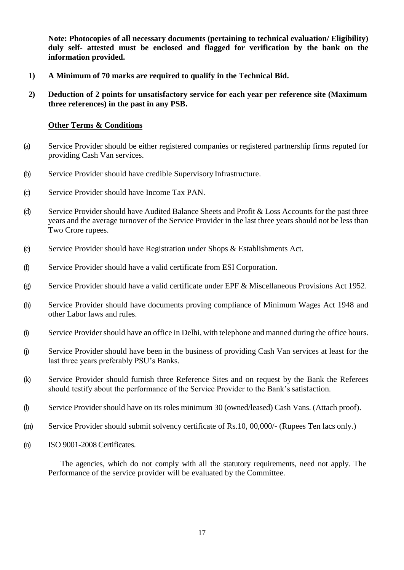**Note: Photocopies of all necessary documents (pertaining to technical evaluation/ Eligibility) duly self- attested must be enclosed and flagged for verification by the bank on the information provided.**

- **1) A Minimum of 70 marks are required to qualify in the Technical Bid.**
- **2) Deduction of 2 points for unsatisfactory service for each year per reference site (Maximum three references) in the past in any PSB.**

#### **Other Terms & Conditions**

- (a) Service Provider should be either registered companies or registered partnership firms reputed for providing Cash Van services.
- (b) Service Provider should have credible Supervisory Infrastructure.
- (c) Service Provider should have Income Tax PAN.
- (d) Service Provider should have Audited Balance Sheets and Profit & Loss Accounts for the past three years and the average turnover of the Service Provider in the last three years should not be less than Two Crore rupees.
- (e) Service Provider should have Registration under Shops & Establishments Act.
- (f) Service Provider should have a valid certificate from ESI Corporation.
- (g) Service Provider should have a valid certificate under EPF & Miscellaneous Provisions Act 1952.
- (h) Service Provider should have documents proving compliance of Minimum Wages Act 1948 and other Labor laws and rules.
- (i) Service Providershould have an office in Delhi, with telephone and manned during the office hours.
- (j) Service Provider should have been in the business of providing Cash Van services at least for the last three years preferably PSU's Banks.
- (k) Service Provider should furnish three Reference Sites and on request by the Bank the Referees should testify about the performance of the Service Provider to the Bank's satisfaction.
- (l) Service Provider should have on its roles minimum 30 (owned/leased) Cash Vans. (Attach proof).
- (m) Service Provider should submit solvency certificate of Rs.10, 00,000/- (Rupees Ten lacs only.)
- (n) ISO 9001-2008 Certificates.

The agencies, which do not comply with all the statutory requirements, need not apply. The Performance of the service provider will be evaluated by the Committee.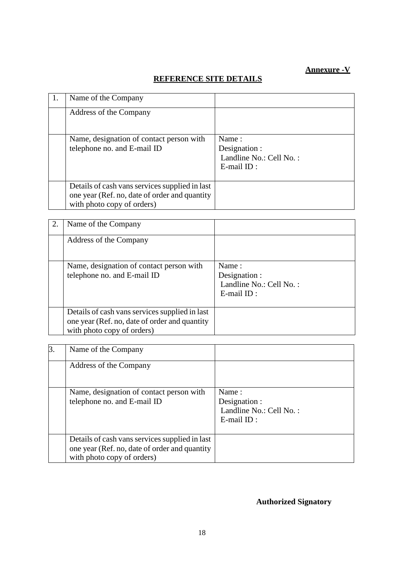# **Annexure -V**

# **REFERENCE SITE DETAILS**

| 1. | Name of the Company                                                                                                           |                                                                       |
|----|-------------------------------------------------------------------------------------------------------------------------------|-----------------------------------------------------------------------|
|    | Address of the Company                                                                                                        |                                                                       |
|    | Name, designation of contact person with<br>telephone no. and E-mail ID                                                       | Name:<br>Designation :<br>Landline No.: Cell No.:<br>$E$ -mail $ID$ : |
|    | Details of cash vans services supplied in last<br>one year (Ref. no, date of order and quantity<br>with photo copy of orders) |                                                                       |

| 2. | Name of the Company                                                                                                           |                                                                       |
|----|-------------------------------------------------------------------------------------------------------------------------------|-----------------------------------------------------------------------|
|    | Address of the Company                                                                                                        |                                                                       |
|    | Name, designation of contact person with<br>telephone no. and E-mail ID                                                       | Name:<br>Designation :<br>Landline No.: Cell No.:<br>$E$ -mail $ID$ : |
|    | Details of cash vans services supplied in last<br>one year (Ref. no, date of order and quantity<br>with photo copy of orders) |                                                                       |

| 3. | Name of the Company                                                                                                           |                                                                    |
|----|-------------------------------------------------------------------------------------------------------------------------------|--------------------------------------------------------------------|
|    | Address of the Company                                                                                                        |                                                                    |
|    | Name, designation of contact person with<br>telephone no. and E-mail ID                                                       | Name:<br>Designation :<br>Landline No.: Cell No.:<br>$E$ -mail ID: |
|    | Details of cash vans services supplied in last<br>one year (Ref. no, date of order and quantity<br>with photo copy of orders) |                                                                    |

# **Authorized Signatory**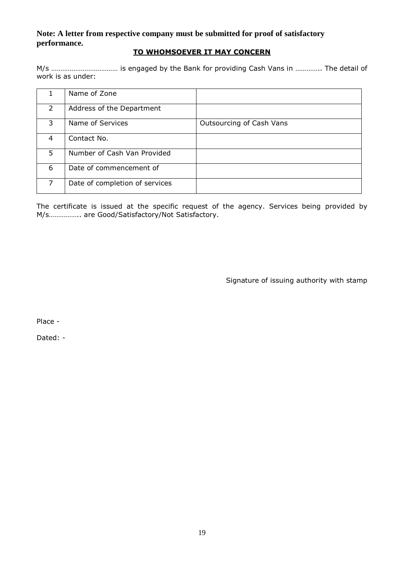# **Note: A letter from respective company must be submitted for proof of satisfactory performance.**

### **TO WHOMSOEVER IT MAY CONCERN**

M/s ……………………………… is engaged by the Bank for providing Cash Vans in ………….. The detail of work is as under:

|                | Name of Zone                   |                          |
|----------------|--------------------------------|--------------------------|
| $\overline{2}$ | Address of the Department      |                          |
| 3              | Name of Services               | Outsourcing of Cash Vans |
| 4              | Contact No.                    |                          |
| 5              | Number of Cash Van Provided    |                          |
| 6              | Date of commencement of        |                          |
| 7              | Date of completion of services |                          |

The certificate is issued at the specific request of the agency. Services being provided by M/s…………….. are Good/Satisfactory/Not Satisfactory.

Signature of issuing authority with stamp

Place -

Dated: -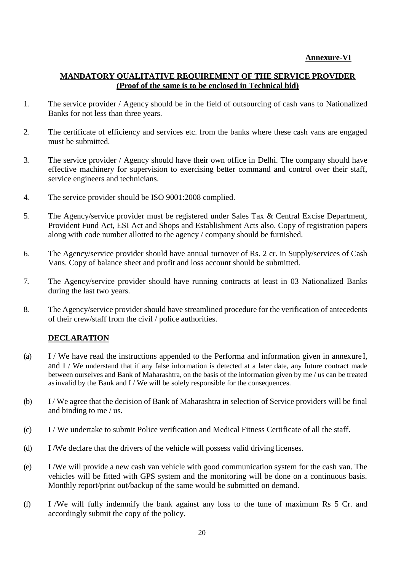# **Annexure-VI**

### **MANDATORY QUALITATIVE REQUIREMENT OF THE SERVICE PROVIDER (Proof of the same is to be enclosed in Technical bid)**

- 1. The service provider / Agency should be in the field of outsourcing of cash vans to Nationalized Banks for not less than three years.
- 2. The certificate of efficiency and services etc. from the banks where these cash vans are engaged must be submitted.
- 3. The service provider / Agency should have their own office in Delhi. The company should have effective machinery for supervision to exercising better command and control over their staff, service engineers and technicians.
- 4. The service provider should be ISO 9001:2008 complied.
- 5. The Agency/service provider must be registered under Sales Tax & Central Excise Department, Provident Fund Act, ESI Act and Shops and Establishment Acts also. Copy of registration papers along with code number allotted to the agency / company should be furnished.
- 6. The Agency/service provider should have annual turnover of Rs. 2 cr. in Supply/services of Cash Vans. Copy of balance sheet and profit and loss account should be submitted.
- 7. The Agency/service provider should have running contracts at least in 03 Nationalized Banks during the last two years.
- 8. The Agency/service provider should have streamlined procedure for the verification of antecedents of their crew/staff from the civil / police authorities.

# **DECLARATION**

- (a) I / We have read the instructions appended to the Performa and information given in annexure I, and I / We understand that if any false information is detected at a later date, any future contract made between ourselves and Bank of Maharashtra, on the basis of the information given by me / us can be treated asinvalid by the Bank and I / We will be solely responsible for the consequences.
- (b) I / We agree that the decision of Bank of Maharashtra in selection of Service providers will be final and binding to me / us.
- (c) I / We undertake to submit Police verification and Medical Fitness Certificate of all the staff.
- (d) I /We declare that the drivers of the vehicle will possess valid driving licenses.
- (e) I /We will provide a new cash van vehicle with good communication system for the cash van. The vehicles will be fitted with GPS system and the monitoring will be done on a continuous basis. Monthly report/print out/backup of the same would be submitted on demand.
- (f) I /We will fully indemnify the bank against any loss to the tune of maximum Rs 5 Cr. and accordingly submit the copy of the policy.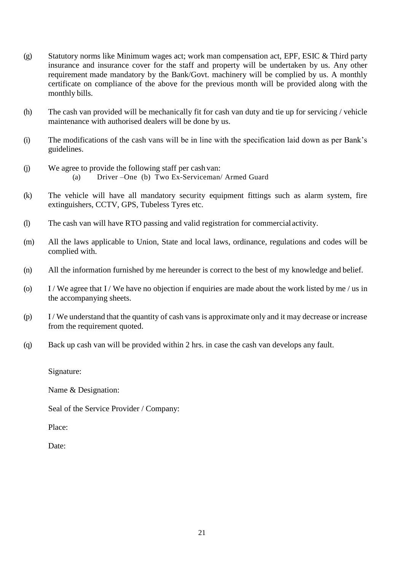- (g) Statutory norms like Minimum wages act; work man compensation act, EPF, ESIC & Third party insurance and insurance cover for the staff and property will be undertaken by us. Any other requirement made mandatory by the Bank/Govt. machinery will be complied by us. A monthly certificate on compliance of the above for the previous month will be provided along with the monthly bills.
- (h) The cash van provided will be mechanically fit for cash van duty and tie up for servicing / vehicle maintenance with authorised dealers will be done by us.
- (i) The modifications of the cash vans will be in line with the specification laid down as per Bank's guidelines.
- (j) We agree to provide the following staff per cash van: (a) Driver –One (b) Two Ex-Serviceman/ Armed Guard
- (k) The vehicle will have all mandatory security equipment fittings such as alarm system, fire extinguishers, CCTV, GPS, Tubeless Tyres etc.
- (l) The cash van will have RTO passing and valid registration for commercialactivity.
- (m) All the laws applicable to Union, State and local laws, ordinance, regulations and codes will be complied with.
- (n) All the information furnished by me hereunder is correct to the best of my knowledge and belief.
- (o) I / We agree that I / We have no objection if enquiries are made about the work listed by me / us in the accompanying sheets.
- (p) I / We understand that the quantity of cash vans is approximate only and it may decrease or increase from the requirement quoted.
- (q) Back up cash van will be provided within 2 hrs. in case the cash van develops any fault.

Signature:

Name & Designation:

Seal of the Service Provider / Company:

Place:

Date: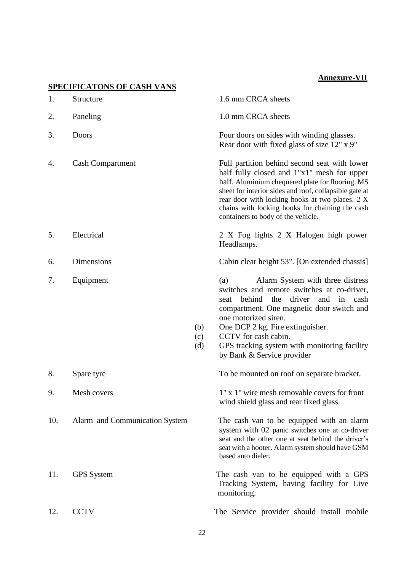# **Annexure-VII**

|     | <b>SPECIFICATONS OF CASH VANS</b> |                   |                                                                                                                                                                                                                                                                                                                                                           |
|-----|-----------------------------------|-------------------|-----------------------------------------------------------------------------------------------------------------------------------------------------------------------------------------------------------------------------------------------------------------------------------------------------------------------------------------------------------|
| 1.  | Structure                         |                   | 1.6 mm CRCA sheets                                                                                                                                                                                                                                                                                                                                        |
| 2.  | Paneling                          |                   | 1.0 mm CRCA sheets                                                                                                                                                                                                                                                                                                                                        |
| 3.  | Doors                             |                   | Four doors on sides with winding glasses.<br>Rear door with fixed glass of size 12" x 9"                                                                                                                                                                                                                                                                  |
| 4.  | <b>Cash Compartment</b>           |                   | Full partition behind second seat with lower<br>half fully closed and 1"x1" mesh for upper<br>half. Aluminium chequered plate for flooring. MS<br>sheet for interior sides and roof, collapsible gate at<br>rear door with locking hooks at two places. 2 X<br>chains with locking hooks for chaining the cash<br>containers to body of the vehicle.      |
| 5.  | Electrical                        |                   | 2 X Fog lights 2 X Halogen high power<br>Headlamps.                                                                                                                                                                                                                                                                                                       |
| 6.  | <b>Dimensions</b>                 |                   | Cabin clear height 53". [On extended chassis]                                                                                                                                                                                                                                                                                                             |
| 7.  | Equipment                         | (b)<br>(c)<br>(d) | Alarm System with three distress<br>(a)<br>switches and remote switches at co-driver,<br>behind<br>the<br>driver<br>and<br>in cash<br>seat<br>compartment. One magnetic door switch and<br>one motorized siren.<br>One DCP 2 kg. Fire extinguisher.<br>CCTV for cash cabin.<br>GPS tracking system with monitoring facility<br>by Bank & Service provider |
| 8.  | Spare tyre                        |                   | To be mounted on roof on separate bracket.                                                                                                                                                                                                                                                                                                                |
| 9.  | Mesh covers                       |                   | 1" x 1" wire mesh removable covers for front<br>wind shield glass and rear fixed glass.                                                                                                                                                                                                                                                                   |
| 10. | Alarm and Communication System    |                   | The cash van to be equipped with an alarm<br>system with 02 panic switches one at co-driver<br>seat and the other one at seat behind the driver's<br>seat with a hooter. Alarm system should have GSM<br>based auto dialer.                                                                                                                               |
| 11. | <b>GPS</b> System                 |                   | The cash van to be equipped with a GPS<br>Tracking System, having facility for Live<br>monitoring.                                                                                                                                                                                                                                                        |
| 12. | <b>CCTV</b>                       |                   | The Service provider should install mobile                                                                                                                                                                                                                                                                                                                |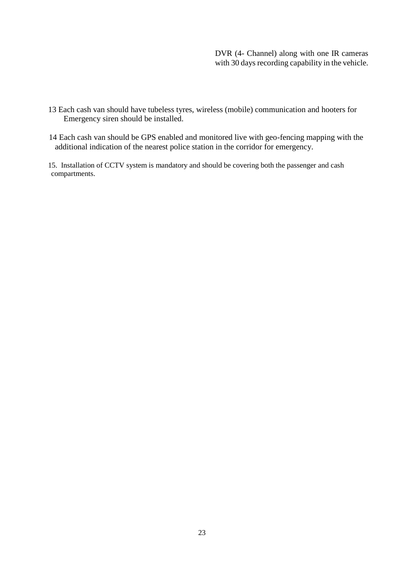#### DVR (4- Channel) along with one IR cameras with 30 days recording capability in the vehicle.

- 13 Each cash van should have tubeless tyres, wireless (mobile) communication and hooters for Emergency siren should be installed.
- 14 Each cash van should be GPS enabled and monitored live with geo-fencing mapping with the additional indication of the nearest police station in the corridor for emergency.
- 15. Installation of CCTV system is mandatory and should be covering both the passenger and cash compartments.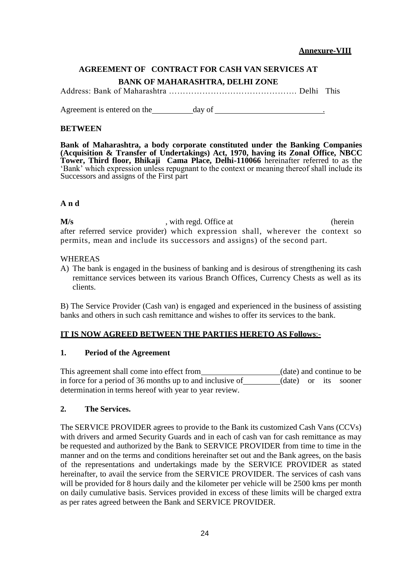#### **Annexure-VIII**

# **AGREEMENT OF CONTRACT FOR CASH VAN SERVICES AT BANK OF MAHARASHTRA, DELHI ZONE**

Address: Bank of Maharashtra ………………………………………. Delhi This

Agreement is entered on the day of  $\qquad \qquad$  .

#### **BETWEEN**

**Bank of Maharashtra, a body corporate constituted under the Banking Companies (Acquisition & Transfer of Undertakings) Act, 1970, having its Zonal Office, NBCC Tower, Third floor, Bhikaji Cama Place, Delhi-110066** hereinafter referred to as the 'Bank' which expression unless repugnant to the context or meaning thereof shall include its Successors and assigns of the First part

### **A n d**

**M/s** extended. Office at (herein in the extended) with regd. Office at after referred service provider) which expression shall, wherever the context so permits, mean and include its successors and assigns) of the second part.

#### WHEREAS

A) The bank is engaged in the business of banking and is desirous of strengthening its cash remittance services between its various Branch Offices, Currency Chests as well as its clients.

B) The Service Provider (Cash van) is engaged and experienced in the business of assisting banks and others in such cash remittance and wishes to offer its services to the bank.

### **IT IS NOW AGREED BETWEEN THE PARTIES HERETO AS Follows**:-

#### **1. Period of the Agreement**

This agreement shall come into effect from (date) and continue to be in force for a period of 36 months up to and inclusive of (date) or its sooner determination in terms hereof with year to year review.

#### **2. The Services.**

The SERVICE PROVIDER agrees to provide to the Bank its customized Cash Vans (CCVs) with drivers and armed Security Guards and in each of cash van for cash remittance as may be requested and authorized by the Bank to SERVICE PROVIDER from time to time in the manner and on the terms and conditions hereinafter set out and the Bank agrees, on the basis of the representations and undertakings made by the SERVICE PROVIDER as stated hereinafter, to avail the service from the SERVICE PROVIDER. The services of cash vans will be provided for 8 hours daily and the kilometer per vehicle will be 2500 kms per month on daily cumulative basis. Services provided in excess of these limits will be charged extra as per rates agreed between the Bank and SERVICE PROVIDER.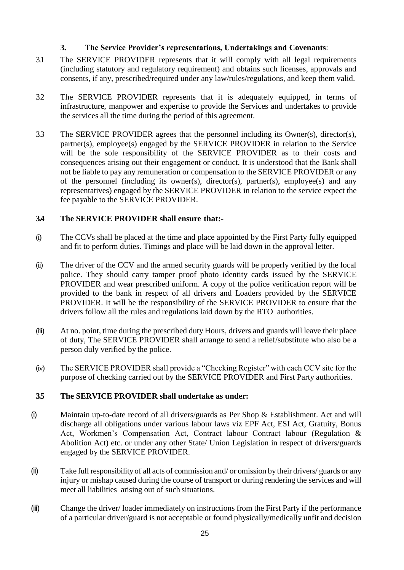### **3. The Service Provider's representations, Undertakings and Covenants**:

- 3.1 The SERVICE PROVIDER represents that it will comply with all legal requirements (including statutory and regulatory requirement) and obtains such licenses, approvals and consents, if any, prescribed/required under any law/rules/regulations, and keep them valid.
- 3.2 The SERVICE PROVIDER represents that it is adequately equipped, in terms of infrastructure, manpower and expertise to provide the Services and undertakes to provide the services all the time during the period of this agreement.
- 3.3 The SERVICE PROVIDER agrees that the personnel including its Owner(s), director(s), partner(s), employee(s) engaged by the SERVICE PROVIDER in relation to the Service will be the sole responsibility of the SERVICE PROVIDER as to their costs and consequences arising out their engagement or conduct. It is understood that the Bank shall not be liable to pay any remuneration or compensation to the SERVICE PROVIDER or any of the personnel (including its owner(s), director(s), partner(s), employee(s) and any representatives) engaged by the SERVICE PROVIDER in relation to the service expect the fee payable to the SERVICE PROVIDER.

#### **3.4 The SERVICE PROVIDER shall ensure that:-**

- (i) The CCVs shall be placed at the time and place appointed by the First Party fully equipped and fit to perform duties. Timings and place will be laid down in the approval letter.
- (ii) The driver of the CCV and the armed security guards will be properly verified by the local police. They should carry tamper proof photo identity cards issued by the SERVICE PROVIDER and wear prescribed uniform. A copy of the police verification report will be provided to the bank in respect of all drivers and Loaders provided by the SERVICE PROVIDER. It will be the responsibility of the SERVICE PROVIDER to ensure that the drivers follow all the rules and regulations laid down by the RTO authorities.
- (iii) At no. point, time during the prescribed duty Hours, drivers and guards will leave their place of duty, The SERVICE PROVIDER shall arrange to send a relief/substitute who also be a person duly verified by the police.
- (iv) The SERVICE PROVIDER shall provide a "Checking Register" with each CCV site for the purpose of checking carried out by the SERVICE PROVIDER and First Party authorities.

### **3.5 The SERVICE PROVIDER shall undertake as under:**

- (i) Maintain up-to-date record of all drivers/guards as Per Shop & Establishment. Act and will discharge all obligations under various labour laws viz EPF Act, ESI Act, Gratuity, Bonus Act, Workmen's Compensation Act, Contract labour Contract labour (Regulation & Abolition Act) etc. or under any other State/ Union Legislation in respect of drivers/guards engaged by the SERVICE PROVIDER.
- (ii) Take full responsibilityof all acts of commission and/ or omission by their drivers/ guards or any injury or mishap caused during the course of transport or during rendering the services and will meet all liabilities arising out of such situations.
- (iii) Change the driver/ loader immediately on instructions from the First Party if the performance of a particular driver/guard is not acceptable or found physically/medically unfit and decision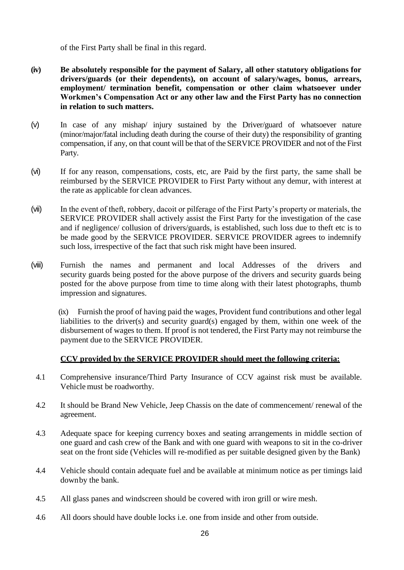of the First Party shall be final in this regard.

- **(iv) Be absolutely responsible for the payment of Salary, all other statutory obligations for drivers/guards (or their dependents), on account of salary/wages, bonus, arrears, employment/ termination benefit, compensation or other claim whatsoever under Workmen's Compensation Act or any other law and the First Party has no connection in relation to such matters.**
- (v) In case of any mishap/ injury sustained by the Driver/guard of whatsoever nature (minor/major/fatal including death during the course of their duty) the responsibility of granting compensation, if any, on that count will be that of the SERVICE PROVIDER and not of the First Party.
- (vi) If for any reason, compensations, costs, etc, are Paid by the first party, the same shall be reimbursed by the SERVICE PROVIDER to First Party without any demur, with interest at the rate as applicable for clean advances.
- (vii) In the event of theft, robbery, dacoit or pilferage of the First Party's property or materials, the SERVICE PROVIDER shall actively assist the First Party for the investigation of the case and if negligence/ collusion of drivers/guards, is established, such loss due to theft etc is to be made good by the SERVICE PROVIDER. SERVICE PROVIDER agrees to indemnify such loss, irrespective of the fact that such risk might have been insured.
- (viii) Furnish the names and permanent and local Addresses of the drivers and security guards being posted for the above purpose of the drivers and security guards being posted for the above purpose from time to time along with their latest photographs, thumb impression and signatures.

(ix) Furnish the proof of having paid the wages, Provident fund contributions and other legal liabilities to the driver(s) and security guard(s) engaged by them, within one week of the disbursement of wages to them. If proof is not tendered, the First Party may not reimburse the payment due to the SERVICE PROVIDER.

# **CCV provided by the SERVICE PROVIDER should meet the following criteria:**

- 4.1 Comprehensive insurance/Third Party Insurance of CCV against risk must be available. Vehicle must be roadworthy.
- 4.2 It should be Brand New Vehicle, Jeep Chassis on the date of commencement/ renewal of the agreement.
- 4.3 Adequate space for keeping currency boxes and seating arrangements in middle section of one guard and cash crew of the Bank and with one guard with weapons to sit in the co-driver seat on the front side (Vehicles will re-modified as per suitable designed given by the Bank)
- 4.4 Vehicle should contain adequate fuel and be available at minimum notice as per timings laid downby the bank.
- 4.5 All glass panes and windscreen should be covered with iron grill or wire mesh.
- 4.6 All doors should have double locks i.e. one from inside and other from outside.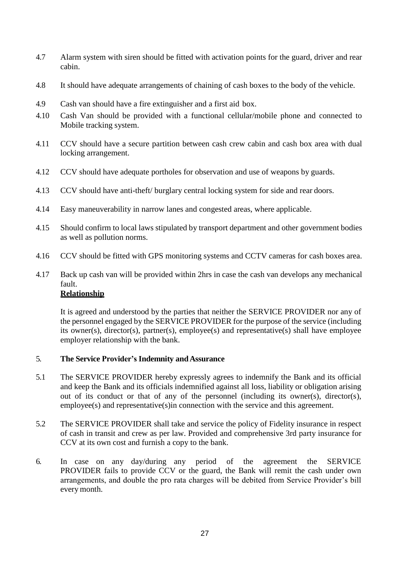- 4.7 Alarm system with siren should be fitted with activation points for the guard, driver and rear cabin.
- 4.8 It should have adequate arrangements of chaining of cash boxes to the body of the vehicle.
- 4.9 Cash van should have a fire extinguisher and a first aid box.
- 4.10 Cash Van should be provided with a functional cellular/mobile phone and connected to Mobile tracking system.
- 4.11 CCV should have a secure partition between cash crew cabin and cash box area with dual locking arrangement.
- 4.12 CCV should have adequate portholes for observation and use of weapons by guards.
- 4.13 CCV should have anti-theft/ burglary central locking system for side and rear doors.
- 4.14 Easy maneuverability in narrow lanes and congested areas, where applicable.
- 4.15 Should confirm to local laws stipulated by transport department and other government bodies as well as pollution norms.
- 4.16 CCV should be fitted with GPS monitoring systems and CCTV cameras for cash boxes area.
- 4.17 Back up cash van will be provided within 2hrs in case the cash van develops any mechanical fault.

# **Relationship**

It is agreed and understood by the parties that neither the SERVICE PROVIDER nor any of the personnel engaged by the SERVICE PROVIDER for the purpose of the service (including its owner(s), director(s), partner(s), employee(s) and representative(s) shall have employee employer relationship with the bank.

#### 5. **The Service Provider's Indemnity andAssurance**

- 5.1 The SERVICE PROVIDER hereby expressly agrees to indemnify the Bank and its official and keep the Bank and its officials indemnified against all loss, liability or obligation arising out of its conduct or that of any of the personnel (including its owner(s), director(s), employee(s) and representative(s)in connection with the service and this agreement.
- 5.2 The SERVICE PROVIDER shall take and service the policy of Fidelity insurance in respect of cash in transit and crew as per law. Provided and comprehensive 3rd party insurance for CCV at its own cost and furnish a copy to the bank.
- 6. In case on any day/during any period of the agreement the SERVICE PROVIDER fails to provide CCV or the guard, the Bank will remit the cash under own arrangements, and double the pro rata charges will be debited from Service Provider's bill every month.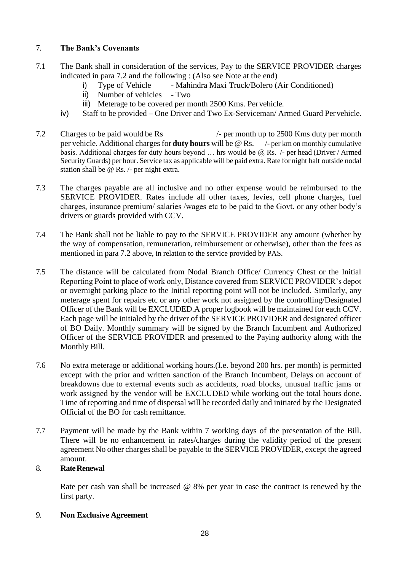#### 7. **The Bank's Covenants**

- 7.1 The Bank shall in consideration of the services, Pay to the SERVICE PROVIDER charges indicated in para 7.2 and the following : (Also see Note at the end)
	- i) Type of Vehicle Mahindra Maxi Truck/Bolero (Air Conditioned)
	- ii) Number of vehicles Two
	- iii) Meterage to be covered per month 2500 Kms. Pervehicle.
	- iv) Staff to be provided One Driver and Two Ex-Serviceman/ Armed Guard Pervehicle.
- 7.2 Charges to be paid would be Rs  $/$  per month up to 2500 Kms duty per month per vehicle. Additional chargesfor **duty hours** will be @ Rs. /- per km on monthly cumulative basis. Additional charges for duty hours beyond  $\ldots$  hrs would be  $\omega$  Rs. /- per head (Driver / Armed Security Guards) per hour. Service tax as applicable will be paid extra. Rate for night halt outside nodal station shall be @ Rs. /- per night extra.
- 7.3 The charges payable are all inclusive and no other expense would be reimbursed to the SERVICE PROVIDER. Rates include all other taxes, levies, cell phone charges, fuel charges, insurance premium/ salaries /wages etc to be paid to the Govt. or any other body's drivers or guards provided with CCV.
- 7.4 The Bank shall not be liable to pay to the SERVICE PROVIDER any amount (whether by the way of compensation, remuneration, reimbursement or otherwise), other than the fees as mentioned in para 7.2 above, in relation to the service provided by PAS.
- 7.5 The distance will be calculated from Nodal Branch Office/ Currency Chest or the Initial Reporting Point to place of work only, Distance covered from SERVICE PROVIDER's depot or overnight parking place to the Initial reporting point will not be included. Similarly, any meterage spent for repairs etc or any other work not assigned by the controlling/Designated Officer of the Bank will be EXCLUDED.A proper logbook will be maintained for each CCV. Each page will be initialed by the driver of the SERVICE PROVIDER and designated officer of BO Daily. Monthly summary will be signed by the Branch Incumbent and Authorized Officer of the SERVICE PROVIDER and presented to the Paying authority along with the Monthly Bill.
- 7.6 No extra meterage or additional working hours.(I.e. beyond 200 hrs. per month) is permitted except with the prior and written sanction of the Branch Incumbent, Delays on account of breakdowns due to external events such as accidents, road blocks, unusual traffic jams or work assigned by the vendor will be EXCLUDED while working out the total hours done. Time of reporting and time of dispersal will be recorded daily and initiated by the Designated Official of the BO for cash remittance.
- 7.7 Payment will be made by the Bank within 7 working days of the presentation of the Bill. There will be no enhancement in rates/charges during the validity period of the present agreement No other charges shall be payable to the SERVICE PROVIDER, except the agreed amount.

### 8. **RateRenewal**

Rate per cash van shall be increased @ 8% per year in case the contract is renewed by the first party.

9. **Non Exclusive Agreement**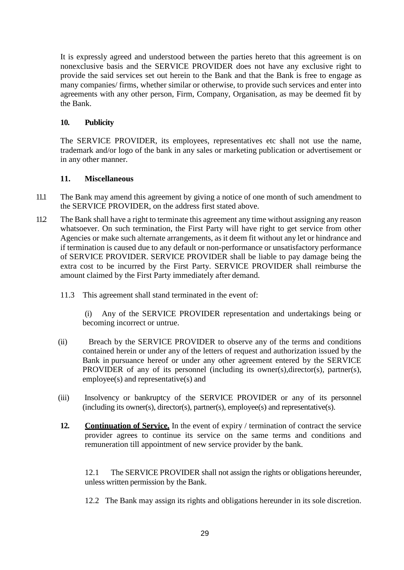It is expressly agreed and understood between the parties hereto that this agreement is on nonexclusive basis and the SERVICE PROVIDER does not have any exclusive right to provide the said services set out herein to the Bank and that the Bank is free to engage as many companies/ firms, whether similar or otherwise, to provide such services and enter into agreements with any other person, Firm, Company, Organisation, as may be deemed fit by the Bank.

#### **10. Publicity**

The SERVICE PROVIDER, its employees, representatives etc shall not use the name, trademark and/or logo of the bank in any sales or marketing publication or advertisement or in any other manner.

#### **11. Miscellaneous**

- 11.1 The Bank may amend this agreement by giving a notice of one month of such amendment to the SERVICE PROVIDER, on the address first stated above.
- 11.2 The Bank shall have a right to terminate this agreement any time without assigning any reason whatsoever. On such termination, the First Party will have right to get service from other Agencies or make such alternate arrangements, as it deem fit without any let or hindrance and if termination is caused due to any default or non-performance or unsatisfactory performance of SERVICE PROVIDER. SERVICE PROVIDER shall be liable to pay damage being the extra cost to be incurred by the First Party. SERVICE PROVIDER shall reimburse the amount claimed by the First Party immediately after demand.
	- 11.3 This agreement shall stand terminated in the event of:

(i) Any of the SERVICE PROVIDER representation and undertakings being or becoming incorrect or untrue.

- (ii) Breach by the SERVICE PROVIDER to observe any of the terms and conditions contained herein or under any of the letters of request and authorization issued by the Bank in pursuance hereof or under any other agreement entered by the SERVICE PROVIDER of any of its personnel (including its owner(s), director(s), partner(s), employee(s) and representative(s) and
- (iii) Insolvency or bankruptcy of the SERVICE PROVIDER or any of its personnel (including its owner(s), director(s), partner(s), employee(s) and representative(s).
- **12. Continuation of Service.** In the event of expiry / termination of contract the service provider agrees to continue its service on the same terms and conditions and remuneration till appointment of new service provider by the bank.

12.1 The SERVICE PROVIDER shall not assign the rights or obligations hereunder, unless written permission by the Bank.

12.2 The Bank may assign its rights and obligations hereunder in its sole discretion.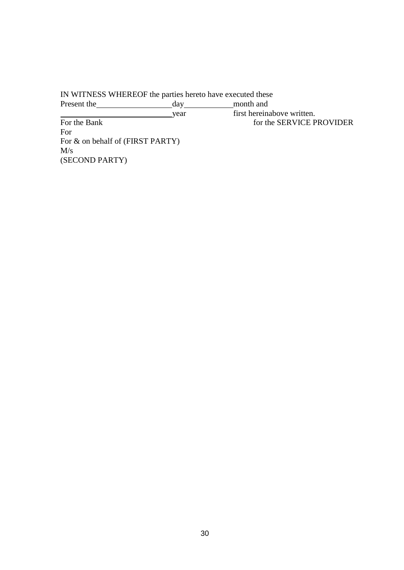IN WITNESS WHEREOF the parties hereto have executed these Present the day year first hereinabove written. For the Bank for the SERVICE PROVIDER For For & on behalf of (FIRST PARTY) M/s (SECOND PARTY)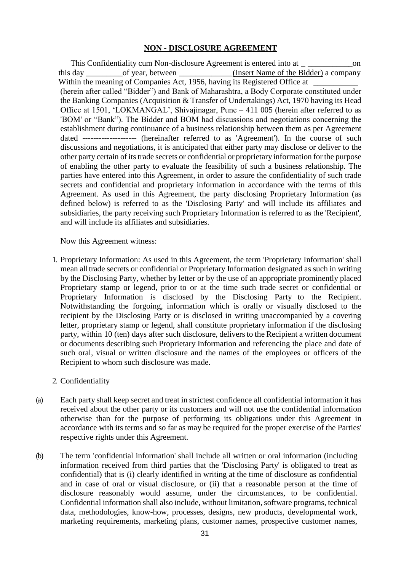#### **NON - DISCLOSURE AGREEMENT**

 This Confidentiality cum Non-disclosure Agreement is entered into at \_ \_\_\_\_\_\_\_\_\_\_\_on this day between this day of year, between  $(Insert Name of the Bidder) a company$ Within the meaning of Companies Act, 1956, having its Registered Office at (herein after called "Bidder") and Bank of Maharashtra, a Body Corporate constituted under the Banking Companies (Acquisition & Transfer of Undertakings) Act, 1970 having its Head Office at 1501, 'LOKMANGAL', Shivajinagar, Pune – 411 005 (herein after referred to as 'BOM' or "Bank"). The Bidder and BOM had discussions and negotiations concerning the establishment during continuance of a business relationship between them as per Agreement dated -------------------- (hereinafter referred to as 'Agreement'). In the course of such discussions and negotiations, it is anticipated that either party may disclose or deliver to the other party certain of its trade secrets or confidential or proprietary information for the purpose of enabling the other party to evaluate the feasibility of such a business relationship. The parties have entered into this Agreement, in order to assure the confidentiality of such trade secrets and confidential and proprietary information in accordance with the terms of this Agreement. As used in this Agreement, the party disclosing Proprietary Information (as defined below) is referred to as the 'Disclosing Party' and will include its affiliates and subsidiaries, the party receiving such Proprietary Information is referred to as the 'Recipient', and will include its affiliates and subsidiaries.

Now this Agreement witness:

1. Proprietary Information: As used in this Agreement, the term 'Proprietary Information' shall mean alltrade secrets or confidential or Proprietary Information designated as such in writing by the Disclosing Party, whether by letter or by the use of an appropriate prominently placed Proprietary stamp or legend, prior to or at the time such trade secret or confidential or Proprietary Information is disclosed by the Disclosing Party to the Recipient. Notwithstanding the forgoing, information which is orally or visually disclosed to the recipient by the Disclosing Party or is disclosed in writing unaccompanied by a covering letter, proprietary stamp or legend, shall constitute proprietary information if the disclosing party, within 10 (ten) days after such disclosure, delivers to the Recipient a written document or documents describing such Proprietary Information and referencing the place and date of such oral, visual or written disclosure and the names of the employees or officers of the Recipient to whom such disclosure was made.

#### 2. Confidentiality

- (a) Each party shall keep secret and treat in strictest confidence all confidential information it has received about the other party or its customers and will not use the confidential information otherwise than for the purpose of performing its obligations under this Agreement in accordance with its terms and so far as may be required for the proper exercise of the Parties' respective rights under this Agreement.
- (b) The term 'confidential information' shall include all written or oral information (including information received from third parties that the 'Disclosing Party' is obligated to treat as confidential) that is (i) clearly identified in writing at the time of disclosure as confidential and in case of oral or visual disclosure, or (ii) that a reasonable person at the time of disclosure reasonably would assume, under the circumstances, to be confidential. Confidential information shall also include, without limitation, software programs, technical data, methodologies, know-how, processes, designs, new products, developmental work, marketing requirements, marketing plans, customer names, prospective customer names,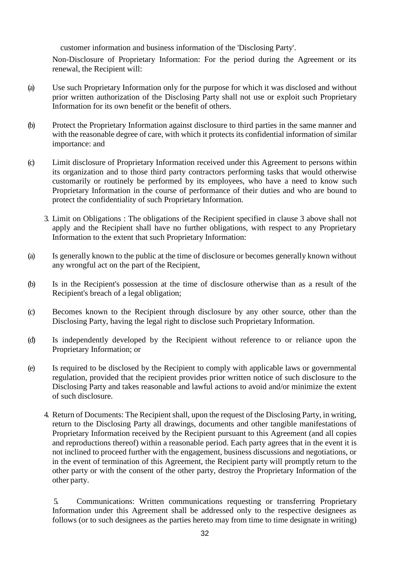customer information and business information of the 'Disclosing Party'.

Non-Disclosure of Proprietary Information: For the period during the Agreement or its renewal, the Recipient will:

- (a) Use such Proprietary Information only for the purpose for which it was disclosed and without prior written authorization of the Disclosing Party shall not use or exploit such Proprietary Information for its own benefit or the benefit of others.
- (b) Protect the Proprietary Information against disclosure to third parties in the same manner and with the reasonable degree of care, with which it protects its confidential information of similar importance: and
- (c) Limit disclosure of Proprietary Information received under this Agreement to persons within its organization and to those third party contractors performing tasks that would otherwise customarily or routinely be performed by its employees, who have a need to know such Proprietary Information in the course of performance of their duties and who are bound to protect the confidentiality of such Proprietary Information.
	- 3. Limit on Obligations : The obligations of the Recipient specified in clause 3 above shall not apply and the Recipient shall have no further obligations, with respect to any Proprietary Information to the extent that such Proprietary Information:
- (a) Is generally known to the public at the time of disclosure or becomes generally known without any wrongful act on the part of the Recipient,
- (b) Is in the Recipient's possession at the time of disclosure otherwise than as a result of the Recipient's breach of a legal obligation;
- (c) Becomes known to the Recipient through disclosure by any other source, other than the Disclosing Party, having the legal right to disclose such Proprietary Information.
- (d) Is independently developed by the Recipient without reference to or reliance upon the Proprietary Information; or
- (e) Is required to be disclosed by the Recipient to comply with applicable laws or governmental regulation, provided that the recipient provides prior written notice of such disclosure to the Disclosing Party and takes reasonable and lawful actions to avoid and/or minimize the extent of such disclosure.
	- 4. Return of Documents: The Recipient shall, upon the request of the Disclosing Party, in writing, return to the Disclosing Party all drawings, documents and other tangible manifestations of Proprietary Information received by the Recipient pursuant to this Agreement (and all copies and reproductions thereof) within a reasonable period. Each party agrees that in the event it is not inclined to proceed further with the engagement, business discussions and negotiations, or in the event of termination of this Agreement, the Recipient party will promptly return to the other party or with the consent of the other party, destroy the Proprietary Information of the other party.

5. Communications: Written communications requesting or transferring Proprietary Information under this Agreement shall be addressed only to the respective designees as follows (or to such designees as the parties hereto may from time to time designate in writing)